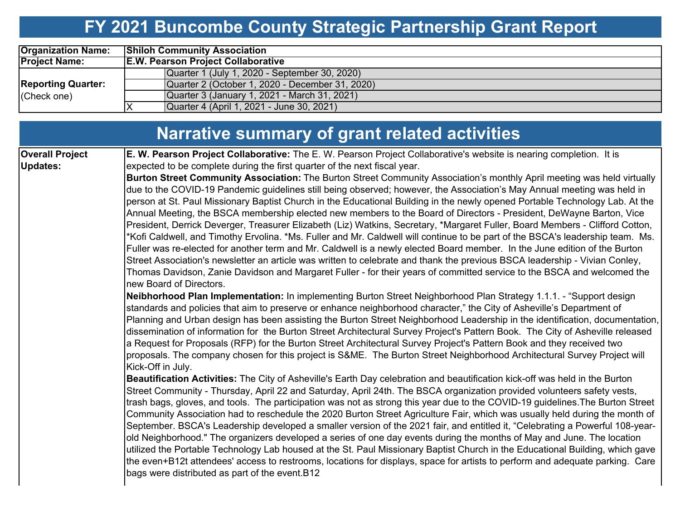# **FY 2021 Buncombe County Strategic Partnership Grant Report**

| <b>Organization Name:</b> | <b>Shiloh Community Association</b>             |
|---------------------------|-------------------------------------------------|
| <b>Project Name:</b>      | <b>E.W. Pearson Project Collaborative</b>       |
|                           | Quarter 1 (July 1, 2020 - September 30, 2020)   |
| <b>Reporting Quarter:</b> | Quarter 2 (October 1, 2020 - December 31, 2020) |
| (Check one)               | Quarter 3 (January 1, 2021 - March 31, 2021)    |
|                           | Quarter 4 (April 1, 2021 - June 30, 2021)       |

|                                           | Narrative summary of grant related activities                                                                                                                                                                                                                                                                                                                                                                                                                                                                                                                                                                                                                                                                                                                                                                                                                                                                                                                                                                                                                                                                                                                                                                                                                                                                                                                                                                                                                                                                                                                                                                                                                                                                                                                                                                                                                                                                                                                                                                                                                                                                                                                                                                                                                                                                                                                                                                                                                                                                                                                                                                                                                                                                                                                                                                                                                                                                                                                                                                                                                                                                                                                                                                                                                                                             |
|-------------------------------------------|-----------------------------------------------------------------------------------------------------------------------------------------------------------------------------------------------------------------------------------------------------------------------------------------------------------------------------------------------------------------------------------------------------------------------------------------------------------------------------------------------------------------------------------------------------------------------------------------------------------------------------------------------------------------------------------------------------------------------------------------------------------------------------------------------------------------------------------------------------------------------------------------------------------------------------------------------------------------------------------------------------------------------------------------------------------------------------------------------------------------------------------------------------------------------------------------------------------------------------------------------------------------------------------------------------------------------------------------------------------------------------------------------------------------------------------------------------------------------------------------------------------------------------------------------------------------------------------------------------------------------------------------------------------------------------------------------------------------------------------------------------------------------------------------------------------------------------------------------------------------------------------------------------------------------------------------------------------------------------------------------------------------------------------------------------------------------------------------------------------------------------------------------------------------------------------------------------------------------------------------------------------------------------------------------------------------------------------------------------------------------------------------------------------------------------------------------------------------------------------------------------------------------------------------------------------------------------------------------------------------------------------------------------------------------------------------------------------------------------------------------------------------------------------------------------------------------------------------------------------------------------------------------------------------------------------------------------------------------------------------------------------------------------------------------------------------------------------------------------------------------------------------------------------------------------------------------------------------------------------------------------------------------------------------------------------|
| <b>Overall Project</b><br><b>Updates:</b> | E. W. Pearson Project Collaborative: The E. W. Pearson Project Collaborative's website is nearing completion. It is<br>expected to be complete during the first quarter of the next fiscal year.<br>Burton Street Community Association: The Burton Street Community Association's monthly April meeting was held virtually<br>due to the COVID-19 Pandemic guidelines still being observed; however, the Association's May Annual meeting was held in<br>person at St. Paul Missionary Baptist Church in the Educational Building in the newly opened Portable Technology Lab. At the<br>Annual Meeting, the BSCA membership elected new members to the Board of Directors - President, DeWayne Barton, Vice<br>President, Derrick Deverger, Treasurer Elizabeth (Liz) Watkins, Secretary, *Margaret Fuller, Board Members - Clifford Cotton,<br>*Kofi Caldwell, and Timothy Ervolina. *Ms. Fuller and Mr. Caldwell will continue to be part of the BSCA's leadership team. Ms.<br>Fuller was re-elected for another term and Mr. Caldwell is a newly elected Board member. In the June edition of the Burton<br>Street Association's newsletter an article was written to celebrate and thank the previous BSCA leadership - Vivian Conley,<br>Thomas Davidson, Zanie Davidson and Margaret Fuller - for their years of committed service to the BSCA and welcomed the<br>new Board of Directors.<br>Neibhorhood Plan Implementation: In implementing Burton Street Neighborhood Plan Strategy 1.1.1. - "Support design<br>standards and policies that aim to preserve or enhance neighborhood character," the City of Asheville's Department of<br>Planning and Urban design has been assisting the Burton Street Neighborhood Leadership in the identification, documentation,<br>dissemination of information for the Burton Street Architectural Survey Project's Pattern Book. The City of Asheville released<br>a Request for Proposals (RFP) for the Burton Street Architectural Survey Project's Pattern Book and they received two<br>proposals. The company chosen for this project is S&ME. The Burton Street Neighborhood Architectural Survey Project will<br>Kick-Off in July.<br>Beautification Activities: The City of Asheville's Earth Day celebration and beautification kick-off was held in the Burton<br>Street Community - Thursday, April 22 and Saturday, April 24th. The BSCA organization provided volunteers safety vests,<br>trash bags, gloves, and tools. The participation was not as strong this year due to the COVID-19 guidelines. The Burton Street<br>Community Association had to reschedule the 2020 Burton Street Agriculture Fair, which was usually held during the month of<br>September. BSCA's Leadership developed a smaller version of the 2021 fair, and entitled it, "Celebrating a Powerful 108-year-<br>old Neighborhood." The organizers developed a series of one day events during the months of May and June. The location<br>utilized the Portable Technology Lab housed at the St. Paul Missionary Baptist Church in the Educational Building, which gave<br>the even+B12t attendees' access to restrooms, locations for displays, space for artists to perform and adequate parking. Care<br>bags were distributed as part of the event. B12 |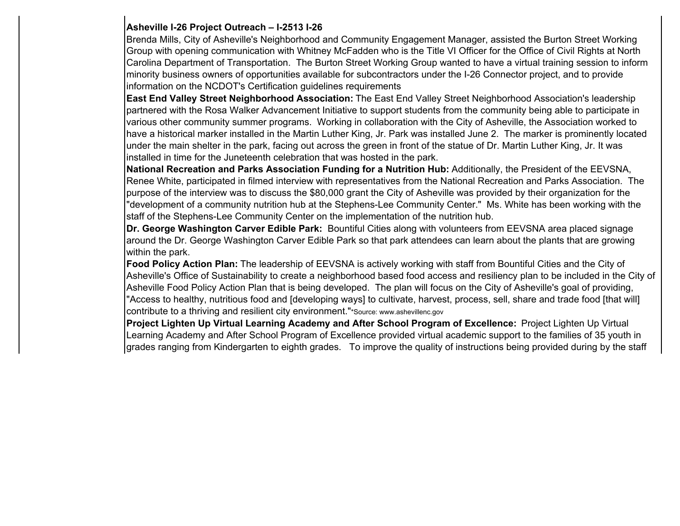### **Asheville I-26 Project Outreach – I-2513 I-26**

Brenda Mills, City of Asheville's Neighborhood and Community Engagement Manager, assisted the Burton Street Working Group with opening communication with Whitney McFadden who is the Title VI Officer for the Office of Civil Rights at North Carolina Department of Transportation. The Burton Street Working Group wanted to have a virtual training session to inform minority business owners of opportunities available for subcontractors under the I-26 Connector project, and to provide information on the NCDOT's Certification guidelines requirements

**East End Valley Street Neighborhood Association:** The East End Valley Street Neighborhood Association's leadership partnered with the Rosa Walker Advancement Initiative to support students from the community being able to participate in various other community summer programs. Working in collaboration with the City of Asheville, the Association worked to have a historical marker installed in the Martin Luther King, Jr. Park was installed June 2. The marker is prominently located under the main shelter in the park, facing out across the green in front of the statue of Dr. Martin Luther King, Jr. It was installed in time for the Juneteenth celebration that was hosted in the park.

**National Recreation and Parks Association Funding for a Nutrition Hub:** Additionally, the President of the EEVSNA, Renee White, participated in filmed interview with representatives from the National Recreation and Parks Association. The purpose of the interview was to discuss the \$80,000 grant the City of Asheville was provided by their organization for the "development of a community nutrition hub at the Stephens-Lee Community Center." Ms. White has been working with the staff of the Stephens-Lee Community Center on the implementation of the nutrition hub.

**Dr. George Washington Carver Edible Park:** Bountiful Cities along with volunteers from EEVSNA area placed signage around the Dr. George Washington Carver Edible Park so that park attendees can learn about the plants that are growing within the park.

**Food Policy Action Plan:** The leadership of EEVSNA is actively working with staff from Bountiful Cities and the City of Asheville's Office of Sustainability to create a neighborhood based food access and resiliency plan to be included in the City of Asheville Food Policy Action Plan that is being developed. The plan will focus on the City of Asheville's goal of providing, "Access to healthy, nutritious food and [developing ways] to cultivate, harvest, process, sell, share and trade food [that will] contribute to a thriving and resilient city environment."\*Source: www.ashevillenc.gov

**Project Lighten Up Virtual Learning Academy and After School Program of Excellence:** Project Lighten Up Virtual Learning Academy and After School Program of Excellence provided virtual academic support to the families of 35 youth in grades ranging from Kindergarten to eighth grades. To improve the quality of instructions being provided during by the staff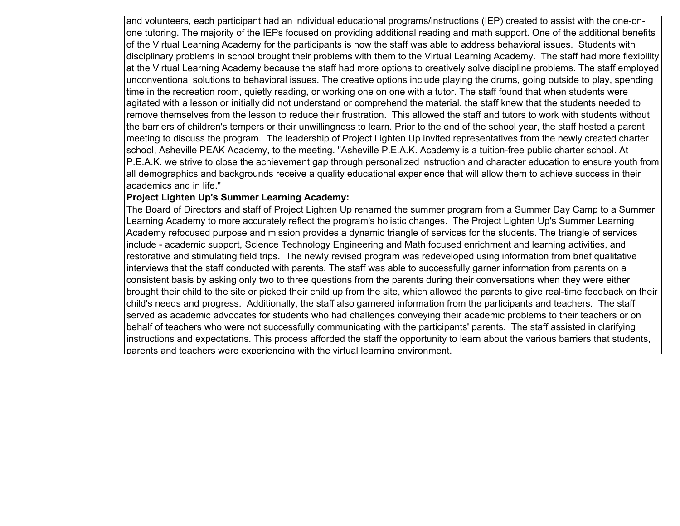and volunteers, each participant had an individual educational programs/instructions (IEP) created to assist with the one-onone tutoring. The majority of the IEPs focused on providing additional reading and math support. One of the additional benefits of the Virtual Learning Academy for the participants is how the staff was able to address behavioral issues. Students with disciplinary problems in school brought their problems with them to the Virtual Learning Academy. The staff had more flexibility at the Virtual Learning Academy because the staff had more options to creatively solve discipline problems. The staff employed unconventional solutions to behavioral issues. The creative options include playing the drums, going outside to play, spending time in the recreation room, quietly reading, or working one on one with a tutor. The staff found that when students were agitated with a lesson or initially did not understand or comprehend the material, the staff knew that the students needed to remove themselves from the lesson to reduce their frustration. This allowed the staff and tutors to work with students withoutthe barriers of children's tempers or their unwillingness to learn. Prior to the end of the school year, the staff hosted a parent meeting to discuss the program. The leadership of Project Lighten Up invited representatives from the newly created charter school, Asheville PEAK Academy, to the meeting. "Asheville P.E.A.K. Academy is a tuition-free public charter school. At P.E.A.K. we strive to close the achievement gap through personalized instruction and character education to ensure youth from all demographics and backgrounds receive a quality educational experience that will allow them to achieve success in their academics and in life."

#### **Project Lighten Up's Summer Learning Academy:**

The Board of Directors and staff of Project Lighten Up renamed the summer program from a Summer Day Camp to a Summer Learning Academy to more accurately reflect the program's holistic changes. The Project Lighten Up's Summer Learning Academy refocused purpose and mission provides a dynamic triangle of services for the students. The triangle of services include - academic support, Science Technology Engineering and Math focused enrichment and learning activities, and restorative and stimulating field trips. The newly revised program was redeveloped using information from brief qualitative interviews that the staff conducted with parents. The staff was able to successfully garner information from parents on a consistent basis by asking only two to three questions from the parents during their conversations when they were either brought their child to the site or picked their child up from the site, which allowed the parents to give real-time feedback on their child's needs and progress. Additionally, the staff also garnered information from the participants and teachers. The staff served as academic advocates for students who had challenges conveying their academic problems to their teachers or on behalf of teachers who were not successfully communicating with the participants' parents. The staff assisted in clarifying instructions and expectations. This process afforded the staff the opportunity to learn about the various barriers that students, parents and teachers were ex periencin g with the virtual learnin g environment.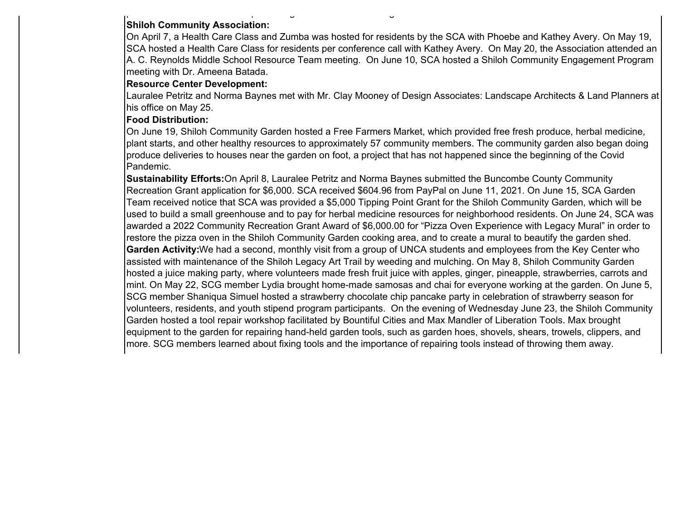### **Shiloh Community Association:**

p p g g

On April 7, a Health Care Class and Zumba was hosted for residents by the SCA with Phoebe and Kathey Avery. On May 19, SCA hosted a Health Care Class for residents per conference call with Kathey Avery. On May 20, the Association attended an A. C. Reynolds Middle School Resource Team meeting. On June 10, SCA hosted a Shiloh Community Engagement Program meeting with Dr. Ameena Batada.

### **Resource Center Development:**

Lauralee Petritz and Norma Baynes met with Mr. Clay Mooney of Design Associates: Landscape Architects & Land Planners at his office on May 25.

### **Food Distribution:**

On June 19, Shiloh Community Garden hosted a Free Farmers Market, which provided free fresh produce, herbal medicine, plant starts, and other healthy resources to approximately 57 community members. The community garden also began doing produce deliveries to houses near the garden on foot, a project that has not happened since the beginning of the Covid Pandemic.

**Sustainability Efforts:**On April 8, Lauralee Petritz and Norma Baynes submitted the Buncombe County Community Recreation Grant application for \$6,000. SCA received \$604.96 from PayPal on June 11, 2021. On June 15, SCA Garden Team received notice that SCA was provided a \$5,000 Tipping Point Grant for the Shiloh Community Garden, which will be used to build a small greenhouse and to pay for herbal medicine resources for neighborhood residents. On June 24, SCA was awarded a 2022 Community Recreation Grant Award of \$6,000.00 for "Pizza Oven Experience with Legacy Mural" in order to restore the pizza oven in the Shiloh Community Garden cooking area, and to create a mural to beautify the garden shed. **Garden Activity:**We had a second, monthly visit from a group of UNCA students and employees from the Key Center who assisted with maintenance of the Shiloh Legacy Art Trail by weeding and mulching. On May 8, Shiloh Community Garden hosted a juice making party, where volunteers made fresh fruit juice with apples, ginger, pineapple, strawberries, carrots and mint. On May 22, SCG member Lydia brought home-made samosas and chai for everyone working at the garden. On June 5, SCG member Shaniqua Simuel hosted a strawberry chocolate chip pancake party in celebration of strawberry season for volunteers, residents, and youth stipend program participants. On the evening of Wednesday June 23, the Shiloh Community Garden hosted a tool repair workshop facilitated by Bountiful Cities and Max Mandler of Liberation Tools. Max brought equipment to the garden for repairing hand-held garden tools, such as garden hoes, shovels, shears, trowels, clippers, and more. SCG members learned about fixing tools and the importance of repairing tools instead of throwing them away.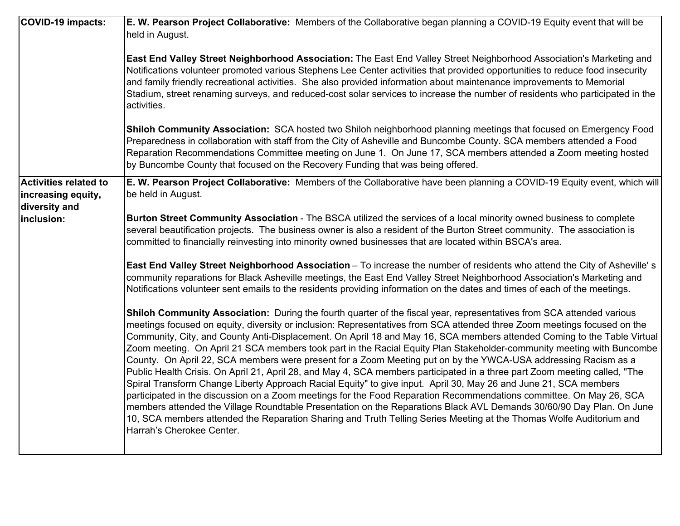| COVID-19 impacts:                                                   | E. W. Pearson Project Collaborative: Members of the Collaborative began planning a COVID-19 Equity event that will be<br>held in August.                                                                                                                                                                                                                                                                                                                                                                                                                                                                                                                                                                                                                                                                                                                                                                                                                                                                                                                                                                                                                                                                                                                                     |
|---------------------------------------------------------------------|------------------------------------------------------------------------------------------------------------------------------------------------------------------------------------------------------------------------------------------------------------------------------------------------------------------------------------------------------------------------------------------------------------------------------------------------------------------------------------------------------------------------------------------------------------------------------------------------------------------------------------------------------------------------------------------------------------------------------------------------------------------------------------------------------------------------------------------------------------------------------------------------------------------------------------------------------------------------------------------------------------------------------------------------------------------------------------------------------------------------------------------------------------------------------------------------------------------------------------------------------------------------------|
|                                                                     | East End Valley Street Neighborhood Association: The East End Valley Street Neighborhood Association's Marketing and<br>Notifications volunteer promoted various Stephens Lee Center activities that provided opportunities to reduce food insecurity<br>and family friendly recreational activities. She also provided information about maintenance improvements to Memorial<br>Stadium, street renaming surveys, and reduced-cost solar services to increase the number of residents who participated in the<br>activities.                                                                                                                                                                                                                                                                                                                                                                                                                                                                                                                                                                                                                                                                                                                                               |
|                                                                     | Shiloh Community Association: SCA hosted two Shiloh neighborhood planning meetings that focused on Emergency Food<br>Preparedness in collaboration with staff from the City of Asheville and Buncombe County. SCA members attended a Food<br>Reparation Recommendations Committee meeting on June 1. On June 17, SCA members attended a Zoom meeting hosted<br>by Buncombe County that focused on the Recovery Funding that was being offered.                                                                                                                                                                                                                                                                                                                                                                                                                                                                                                                                                                                                                                                                                                                                                                                                                               |
| <b>Activities related to</b><br>increasing equity,<br>diversity and | E. W. Pearson Project Collaborative: Members of the Collaborative have been planning a COVID-19 Equity event, which will<br>be held in August.                                                                                                                                                                                                                                                                                                                                                                                                                                                                                                                                                                                                                                                                                                                                                                                                                                                                                                                                                                                                                                                                                                                               |
| inclusion:                                                          | Burton Street Community Association - The BSCA utilized the services of a local minority owned business to complete<br>several beautification projects. The business owner is also a resident of the Burton Street community. The association is<br>committed to financially reinvesting into minority owned businesses that are located within BSCA's area.                                                                                                                                                                                                                                                                                                                                                                                                                                                                                                                                                                                                                                                                                                                                                                                                                                                                                                                 |
|                                                                     | East End Valley Street Neighborhood Association - To increase the number of residents who attend the City of Asheville's<br>community reparations for Black Asheville meetings, the East End Valley Street Neighborhood Association's Marketing and<br>Notifications volunteer sent emails to the residents providing information on the dates and times of each of the meetings.                                                                                                                                                                                                                                                                                                                                                                                                                                                                                                                                                                                                                                                                                                                                                                                                                                                                                            |
|                                                                     | Shiloh Community Association: During the fourth quarter of the fiscal year, representatives from SCA attended various<br>meetings focused on equity, diversity or inclusion: Representatives from SCA attended three Zoom meetings focused on the<br>Community, City, and County Anti-Displacement. On April 18 and May 16, SCA members attended Coming to the Table Virtual<br>Zoom meeting. On April 21 SCA members took part in the Racial Equity Plan Stakeholder-community meeting with Buncombe<br>County. On April 22, SCA members were present for a Zoom Meeting put on by the YWCA-USA addressing Racism as a<br>Public Health Crisis. On April 21, April 28, and May 4, SCA members participated in a three part Zoom meeting called, "The<br>Spiral Transform Change Liberty Approach Racial Equity" to give input. April 30, May 26 and June 21, SCA members<br>participated in the discussion on a Zoom meetings for the Food Reparation Recommendations committee. On May 26, SCA<br>members attended the Village Roundtable Presentation on the Reparations Black AVL Demands 30/60/90 Day Plan. On June<br>10, SCA members attended the Reparation Sharing and Truth Telling Series Meeting at the Thomas Wolfe Auditorium and<br>Harrah's Cherokee Center. |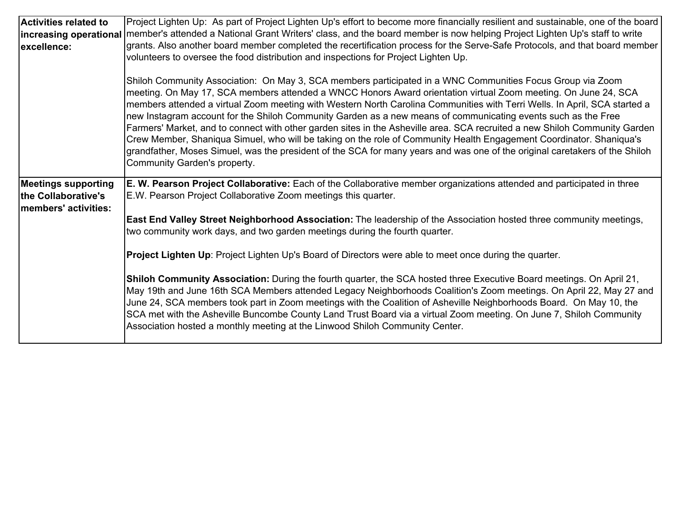| <b>Activities related to</b><br>increasing operational<br>excellence:     | Project Lighten Up: As part of Project Lighten Up's effort to become more financially resilient and sustainable, one of the board<br>member's attended a National Grant Writers' class, and the board member is now helping Project Lighten Up's staff to write<br>grants. Also another board member completed the recertification process for the Serve-Safe Protocols, and that board member<br>volunteers to oversee the food distribution and inspections for Project Lighten Up.                                                                                                                                                                                                                                                                                                                                                                                                          |
|---------------------------------------------------------------------------|------------------------------------------------------------------------------------------------------------------------------------------------------------------------------------------------------------------------------------------------------------------------------------------------------------------------------------------------------------------------------------------------------------------------------------------------------------------------------------------------------------------------------------------------------------------------------------------------------------------------------------------------------------------------------------------------------------------------------------------------------------------------------------------------------------------------------------------------------------------------------------------------|
|                                                                           | Shiloh Community Association: On May 3, SCA members participated in a WNC Communities Focus Group via Zoom<br>meeting. On May 17, SCA members attended a WNCC Honors Award orientation virtual Zoom meeting. On June 24, SCA<br>members attended a virtual Zoom meeting with Western North Carolina Communities with Terri Wells. In April, SCA started a<br>new Instagram account for the Shiloh Community Garden as a new means of communicating events such as the Free<br>Farmers' Market, and to connect with other garden sites in the Asheville area. SCA recruited a new Shiloh Community Garden<br>Crew Member, Shaniqua Simuel, who will be taking on the role of Community Health Engagement Coordinator. Shaniqua's<br>grandfather, Moses Simuel, was the president of the SCA for many years and was one of the original caretakers of the Shiloh<br>Community Garden's property. |
| <b>Meetings supporting</b><br>the Collaborative's<br>members' activities: | E. W. Pearson Project Collaborative: Each of the Collaborative member organizations attended and participated in three<br>E.W. Pearson Project Collaborative Zoom meetings this quarter.                                                                                                                                                                                                                                                                                                                                                                                                                                                                                                                                                                                                                                                                                                       |
|                                                                           | <b>East End Valley Street Neighborhood Association:</b> The leadership of the Association hosted three community meetings,<br>two community work days, and two garden meetings during the fourth quarter.                                                                                                                                                                                                                                                                                                                                                                                                                                                                                                                                                                                                                                                                                      |
|                                                                           | <b>Project Lighten Up</b> : Project Lighten Up's Board of Directors were able to meet once during the quarter.                                                                                                                                                                                                                                                                                                                                                                                                                                                                                                                                                                                                                                                                                                                                                                                 |
|                                                                           | Shiloh Community Association: During the fourth quarter, the SCA hosted three Executive Board meetings. On April 21,<br>May 19th and June 16th SCA Members attended Legacy Neighborhoods Coalition's Zoom meetings. On April 22, May 27 and<br>June 24, SCA members took part in Zoom meetings with the Coalition of Asheville Neighborhoods Board. On May 10, the<br>SCA met with the Asheville Buncombe County Land Trust Board via a virtual Zoom meeting. On June 7, Shiloh Community<br>Association hosted a monthly meeting at the Linwood Shiloh Community Center.                                                                                                                                                                                                                                                                                                                      |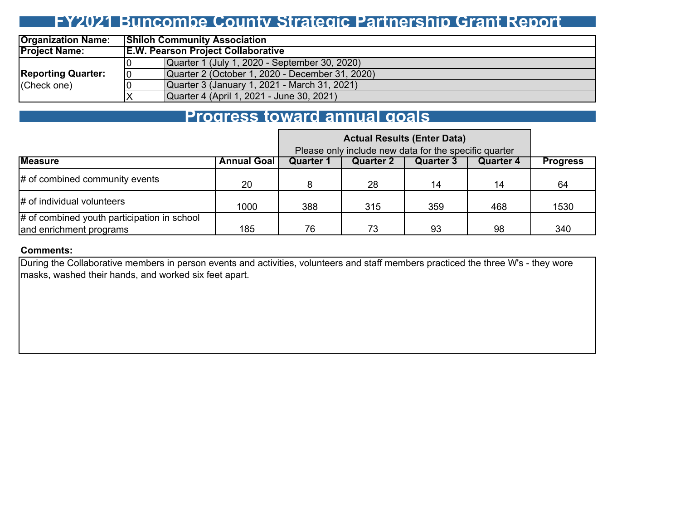### **FY2021 Buncombe County Strategic Partnership Grant Report**

| <b>Organization Name:</b> |    | <b>Shiloh Community Association</b>             |  |  |  |  |  |  |  |
|---------------------------|----|-------------------------------------------------|--|--|--|--|--|--|--|
| <b>Project Name:</b>      |    | <b>E.W. Pearson Project Collaborative</b>       |  |  |  |  |  |  |  |
|                           |    | Quarter 1 (July 1, 2020 - September 30, 2020)   |  |  |  |  |  |  |  |
| <b>Reporting Quarter:</b> | 10 | Quarter 2 (October 1, 2020 - December 31, 2020) |  |  |  |  |  |  |  |
| (Check one)               |    | Quarter 3 (January 1, 2021 - March 31, 2021)    |  |  |  |  |  |  |  |
|                           |    | Quarter 4 (April 1, 2021 - June 30, 2021)       |  |  |  |  |  |  |  |

### **Progress toward annual goals**

|                                                                        | <b>Actual Results (Enter Data)</b><br>Please only include new data for the specific quarter |           |           |           |           |                 |  |  |  |  |  |  |
|------------------------------------------------------------------------|---------------------------------------------------------------------------------------------|-----------|-----------|-----------|-----------|-----------------|--|--|--|--|--|--|
| <b>Measure</b>                                                         | <b>Annual Goal</b>                                                                          | Quarter 1 | Quarter 2 | Quarter 3 | Quarter 4 | <b>Progress</b> |  |  |  |  |  |  |
| # of combined community events                                         | 20                                                                                          |           | 28        | 14        | 14        | 64              |  |  |  |  |  |  |
| # of individual volunteers                                             | 1000                                                                                        | 388       | 315       | 359       | 468       | 1530            |  |  |  |  |  |  |
| # of combined youth participation in school<br>and enrichment programs | 76<br>185<br>98<br>73<br>93                                                                 |           |           |           |           |                 |  |  |  |  |  |  |

#### **Comments:**

During the Collaborative members in person events and activities, volunteers and staff members practiced the three W's - they wore masks, washed their hands, and worked six feet apart.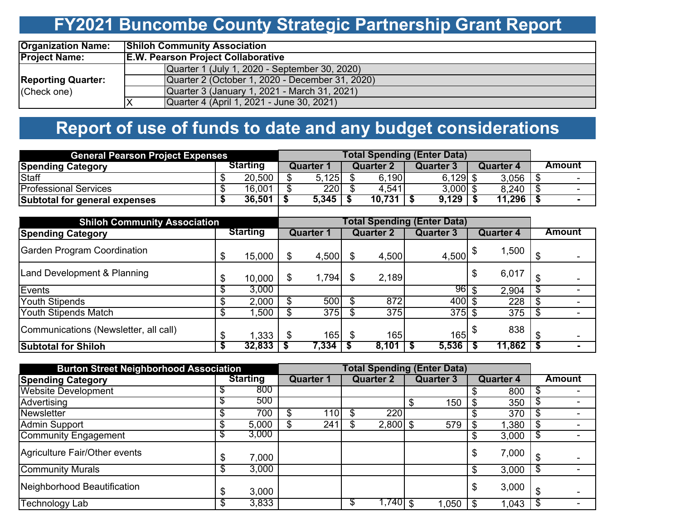## **FY2021 Buncombe County Strategic Partnership Grant Report**

| <b>Organization Name:</b> | <b>Shiloh Community Association</b>             |  |  |  |  |  |  |  |  |  |
|---------------------------|-------------------------------------------------|--|--|--|--|--|--|--|--|--|
| <b>Project Name:</b>      | <b>E.W. Pearson Project Collaborative</b>       |  |  |  |  |  |  |  |  |  |
|                           | Quarter 1 (July 1, 2020 - September 30, 2020)   |  |  |  |  |  |  |  |  |  |
| <b>Reporting Quarter:</b> | Quarter 2 (October 1, 2020 - December 31, 2020) |  |  |  |  |  |  |  |  |  |
| (Check one)               | Quarter 3 (January 1, 2021 - March 31, 2021)    |  |  |  |  |  |  |  |  |  |
|                           | Quarter 4 (April 1, 2021 - June 30, 2021)<br>ıΧ |  |  |  |  |  |  |  |  |  |

## **Report of use of funds to date and any budget considerations**

| <b>General Pearson Project Expenses</b> |                 |  |            |           |            |           |                          |
|-----------------------------------------|-----------------|--|------------|-----------|------------|-----------|--------------------------|
| <b>Spending Category</b>                | <b>Starting</b> |  | Quarter    | Quarter 2 | Quarter 3  | Quarter 4 | Amount                   |
| <b>Staff</b>                            | 20,500          |  | 5,125      | 6,190     | $6,129$ \$ | 3,056     |                          |
| Professional Services                   | 16,001          |  | <b>220</b> | 4,541     | $3,000$ \$ | 8,240     | $\sim$                   |
| Subtotal for general expenses           | 36,501          |  | 5,345      | 10,731    | 9,129      | 11,296    | $\overline{\phantom{0}}$ |
|                                         |                 |  |            |           |            |           |                          |

| <b>Shiloh Community Association</b>   |    |                 |     |                  |    |                  |                  |                  |        |               |  |
|---------------------------------------|----|-----------------|-----|------------------|----|------------------|------------------|------------------|--------|---------------|--|
| <b>Spending Category</b>              |    | <b>Starting</b> |     | <b>Quarter 1</b> |    | <b>Quarter 2</b> | <b>Quarter 3</b> | <b>Quarter 4</b> |        | <b>Amount</b> |  |
| <b>Garden Program Coordination</b>    | \$ | 15,000          |     | 4,500            |    | 4,500            | 4,500            |                  | 1,500  |               |  |
| Land Development & Planning           | \$ | 10,000          | D   | 1,794            |    | 2,189            |                  |                  | 6,017  |               |  |
| Events                                |    | 3,000           |     |                  |    |                  | 961              |                  | 2,904  | \$            |  |
| <b>Youth Stipends</b>                 |    | 2,000           |     | 500              |    | 872              | $400 \text{ s}$  |                  | 228    |               |  |
| Youth Stipends Match                  |    | ,500            |     | 375              |    | $\overline{375}$ | $375$ \$         |                  | 375    | \$            |  |
| Communications (Newsletter, all call) | \$ | .333            | \$. | 165              | \$ | 165              | 165              |                  | 838    |               |  |
| <b>Subtotal for Shiloh</b>            | S  | 32,833          |     | 7,334            |    | 8,101            | 5,536            |                  | 11,862 | 5             |  |

| <b>Burton Street Neighborhood Association</b> |    |                 |  |                  |                  |                   |                  |       |                  |       |        |  |
|-----------------------------------------------|----|-----------------|--|------------------|------------------|-------------------|------------------|-------|------------------|-------|--------|--|
| <b>Spending Category</b>                      |    | <b>Starting</b> |  | <b>Quarter 1</b> | <b>Quarter 2</b> |                   | <b>Quarter 3</b> |       | <b>Quarter 4</b> |       | Amount |  |
| <b>Website Development</b>                    |    | 800             |  |                  |                  |                   |                  |       |                  | 800   |        |  |
| Advertising                                   | Φ  | 500             |  |                  |                  |                   |                  | 150   |                  | 350   | \$     |  |
| Newsletter                                    | \$ | 700             |  | 110              |                  | 220               |                  |       |                  | 370   | \$     |  |
| <b>Admin Support</b>                          | S  | 5,000           |  | 241              |                  | $\sqrt{2,800}$ \$ |                  | 579   |                  | 1,380 | \$     |  |
| Community Engagement                          | Φ  | 3,000           |  |                  |                  |                   |                  |       |                  | 3,000 | \$     |  |
| Agriculture Fair/Other events                 | \$ | 7,000           |  |                  |                  |                   |                  |       |                  | 7,000 |        |  |
| <b>Community Murals</b>                       | \$ | 3,000           |  |                  |                  |                   |                  |       |                  | 3,000 | \$     |  |
| Neighborhood Beautification                   | \$ | 3,000           |  |                  |                  |                   |                  |       |                  | 3,000 |        |  |
| <b>Technology Lab</b>                         | \$ | 3,833           |  |                  |                  | $1,740$ \$        |                  | 1,050 |                  | 1,043 | -S     |  |